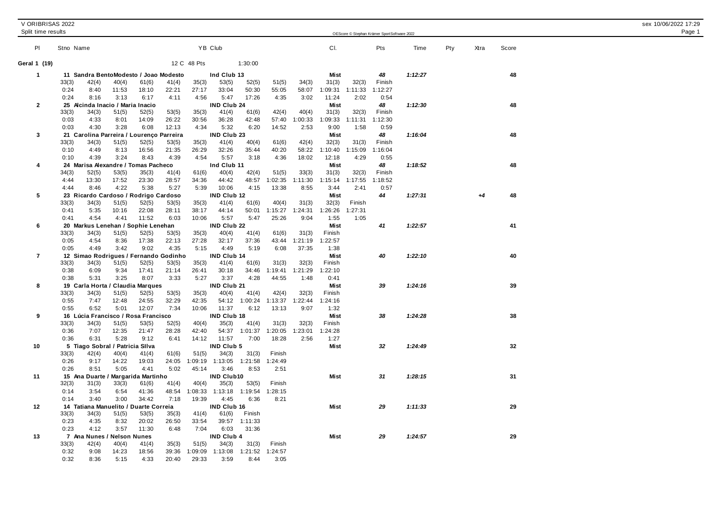## V ORIBRISAS 2022 sex 10/06/2022 17:29 Split time results OEScore © Stephan Krämer SportSoftware <sup>2022</sup> Page 1 Pl Stno Name YB Club Cl. Pts Time Pty Xtra Score **Geral 1 (19)** 12 C 48 Pts 1:30:00 **1 11 Sandra BentoModesto / Joao Modesto Ind Club 13 Mist** *48 1:12:27* **48** 33(3) 42(4) 40(4) 61(6) 41(4) 35(3) 53(5) 52(5) 51(5) 34(3) 31(3) 32(3) Finish 0:24 8:40 11:53 18:10 22:21 27:17 33:04 50:30 55:05 58:07 1:09:31 1:11:33 1:12:27 0:24 8:16 3:13 6:17 4:11 4:56 5:47 17:26 4:35 3:02 11:24 2:02 0:54 **2 25 Alcinda Inacio / Maria Inacio IND Club 24 Mist** *48 1:12:30* **48** 33(3) 34(3) 51(5) 52(5) 53(5) 35(3) 41(4) 61(6) 42(4) 40(4) 31(3) 32(3) Finish 0:03 4:33 8:01 14:09 26:22 30:56 36:28 42:48 57:40 1:00:33 1:09:33 1:11:31 1:12:30 0:03 4:30 3:28 6:08 12:13 4:34 5:32 6:20 14:52 2:53 9:00 1:58 0:59 **3 21 Carolina Parreira / Lourenço Parreira IND Club 23 Mist** *48 1:16:04* **48** 33(3) 34(3) 51(5) 52(5) 53(5) 35(3) 41(4) 40(4) 61(6) 42(4) 32(3) 31(3) Finish 0:10 4:49 8:13 16:56 21:35 26:29 32:26 35:44 40:20 58:22 1:10:40 1:15:09 1:16:04 0:10 4:39 3:24 8:43 4:39 4:54 5:57 3:18 4:36 18:02 12:18 4:29 0:55 **4 24 Marisa Alexandre / Tomas Pacheco Ind Club 11 Mist** *48 1:18:52* **48** 34(3) 52(5) 53(5) 35(3) 41(4) 61(6) 40(4) 42(4) 51(5) 33(3) 31(3) 32(3) Finish 4:44 13:30 17:52 23:30 28:57 34:36 44:42 48:57 1:02:35 1:11:30 1:15:14 1:17:55 1:18:52 4:44 8:46 4:22 5:38 5:27 5:39 10:06 4:15 13:38 8:55 3:44 2:41 0:57 **5 23 Ricardo Cardoso / Rodrigo Cardoso IND Club 12 Mist** *44 1:27:31 +4* **48** 33(3) 34(3) 51(5) 52(5) 53(5) 35(3) 41(4) 61(6) 40(4) 31(3) 32(3) Finish 0:41 5:35 10:16 22:08 28:11 38:17 44:14 50:01 1:15:27 1:24:31 1:26:26 1:27:31 0:41 4:54 4:41 11:52 6:03 10:06 5:57 5:47 25:26 9:04 1:55 1:05 **6 20 Markus Lenehan / Sophie Lenehan IND Club 22 Mist** *41 1:22:57* **41** 33(3) 34(3) 51(5) 52(5) 53(5) 35(3) 40(4) 41(4) 61(6) 31(3) Finish 0:05 4:54 8:36 17:38 22:13 27:28 32:17 37:36 43:44 1:21:19 1:22:57 0:05 4:49 3:42 9:02 4:35 5:15 4:49 5:19 6:08 37:35 1:38 **7 12 Simao Rodrigues / Fernando Godinho IND Club 14 Mist** *40 1:22:10* **40** 33(3) 34(3) 51(5) 52(5) 53(5) 35(3) 41(4) 61(6) 31(3) 32(3) Finish 0:38 6:09 9:34 17:41 21:14 26:41 30:18 34:46 1:19:41 1:21:29 1:22:10 0:38 5:31 3:25 8:07 3:33 5:27 3:37 4:28 44:55 1:48 0:41 **8 19 Carla Horta / Claudia Marques IND Club 21 Mist** *39 1:24:16* **39** 33(3) 34(3) 51(5) 52(5) 53(5) 35(3) 40(4) 41(4) 42(4) 32(3) Finish 0:55 7:47 12:48 24:55 32:29 42:35 54:12 1:00:24 1:13:37 1:22:44 1:24:16 0:55 6:52 5:01 12:07 7:34 10:06 11:37 6:12 13:13 9:07 1:32 **9 16 Lúcia Francisco / Rosa Francisco IND Club 18 Mist** *38 1:24:28* **38** 33(3) 34(3) 51(5) 53(5) 52(5) 40(4) 35(3) 41(4) 31(3) 32(3) Finish 0:36 7:07 12:35 21:47 28:28 42:40 54:37 1:01:37 1:20:05 1:23:01 1:24:28 0:36 6:31 5:28 9:12 6:41 14:12 11:57 7:00 18:28 2:56 1:27 **10 5 Tiago Sobral / Patricia SIlva IND Club 5 Mist** *32 1:24:49* **32** 33(3) 42(4) 40(4) 41(4) 61(6) 51(5) 34(3) 31(3) Finish 0:26 9:17 14:22 19:03 24:05 1:09:19 1:13:05 1:21:58 1:24:49 0:26 8:51 5:05 4:41 5:02 45:14 3:46 8:53 2:51 **11 15 Ana Duarte / Margarida Martinho IND Club10 Mist** *31 1:28:15* **31** 32(3) 31(3) 33(3) 61(6) 41(4) 40(4) 35(3) 53(5) Finish 0:14 3:54 6:54 41:36 48:54 1:08:33 1:13:18 1:19:54 1:28:15 0:14 3:40 3:00 34:42 7:18 19:39 4:45 6:36 8:21 **12 14 Tatiana Manuelito / Duarte Correia IND Club 16 Mist** *29 1:11:33* **29** 33(3) 34(3) 51(5) 53(5) 35(3) 41(4) 61(6) Finish 0:23 4:35 8:32 20:02 26:50 33:54 39:57 1:11:33 0:23 4:12 3:57 11:30 6:48 7:04 6:03 31:36 **13 7 Ana Nunes / Nelson Nunes IND Club 4 Mist** *29 1:24:57* **29** 33(3) 42(4) 40(4) 41(4) 35(3) 51(5) 34(3) 31(3) Finish 0:32 9:08 14:23 18:56 39:36 1:09:09 1:13:08 1:21:52 1:24:57

0:32 8:36 5:15 4:33 20:40 29:33 3:59 8:44 3:05